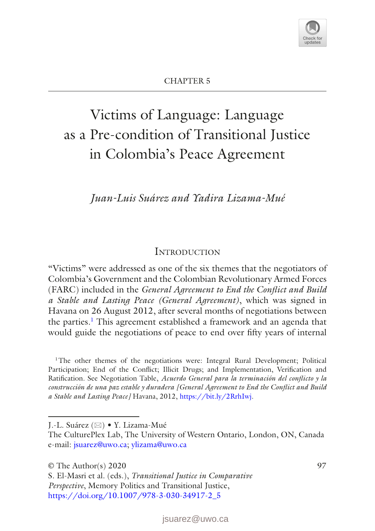<span id="page-0-0"></span>

# Victims of Language: Language as a Pre-condition of Transitional Justice in Colombia's Peace Agreement

*Juan-Luis Suárez and Yadira Lizama-Mué*

## **INTRODUCTION**

"Victims" were addressed as one of the six themes that the negotiators of Colombia's Government and the Colombian Revolutionary Armed Forces (FARC) included in the *General Agreement to End the Conflict and Build a Stable and Lasting Peace (General Agreement)*, which was signed in Havana on 26 August 2012, after several months of negotiations between the parties[.1](#page-0-1) This agreement established a framework and an agenda that would guide the negotiations of peace to end over fifty years of internal

<span id="page-0-1"></span><sup>1</sup>The other themes of the negotiations were: Integral Rural Development; Political Participation; End of the Conflict; Illicit Drugs; and Implementation, Verification and Ratification. See Negotiation Table, *Acuerdo General para la terminación del conflicto y la construcción de una paz estable y duradera [General Agreement to End the Conflict and Build a Stable and Lasting Peace]* Havana, 2012, [https://bit.ly/2RrhIwj.](https://bit.ly/2RrhIwj)

J.-L. Suárez (⊠) • Y. Lizama-Mué

The CulturePlex Lab, The University of Western Ontario, London, ON, Canada e-mail: [jsuarez@uwo.ca](mailto:jsuarez@uwo.ca); [ylizama@uwo.ca](mailto:ylizama@uwo.ca)

 $\circ$  The Author(s) 2020 97

S. El-Masri et al. (eds.), *Transitional Justice in Comparative Perspective*, Memory Politics and Transitional Justice, [https://doi.org/10.1007/978-3-030-34917-2\\_5](#page-0-0)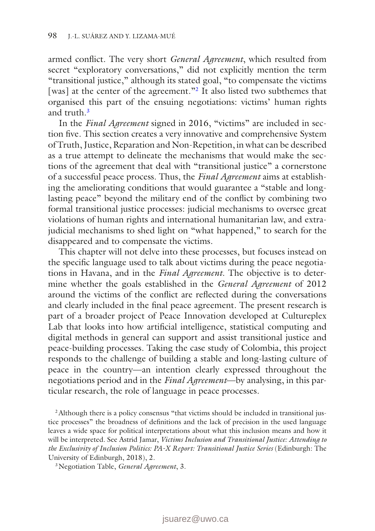armed conflict. The very short *General Agreement*, which resulted from secret "exploratory conversations," did not explicitly mention the term "transitional justice," although its stated goal, "to compensate the victims [was] at the center of the agreement."<sup>[2](#page-1-0)</sup> It also listed two subthemes that organised this part of the ensuing negotiations: victims' human rights and truth<sup>[3](#page-1-1)</sup>

In the *Final Agreement* signed in 2016, "victims" are included in section five. This section creates a very innovative and comprehensive System of Truth, Justice, Reparation and Non-Repetition, in what can be described as a true attempt to delineate the mechanisms that would make the sections of the agreement that deal with "transitional justice" a cornerstone of a successful peace process. Thus, the *Final Agreement* aims at establishing the ameliorating conditions that would guarantee a "stable and longlasting peace" beyond the military end of the conflict by combining two formal transitional justice processes: judicial mechanisms to oversee great violations of human rights and international humanitarian law, and extrajudicial mechanisms to shed light on "what happened," to search for the disappeared and to compensate the victims.

This chapter will not delve into these processes, but focuses instead on the specific language used to talk about victims during the peace negotiations in Havana, and in the *Final Agreement*. The objective is to determine whether the goals established in the *General Agreement* of 2012 around the victims of the conflict are reflected during the conversations and clearly included in the final peace agreement. The present research is part of a broader project of Peace Innovation developed at Cultureplex Lab that looks into how artificial intelligence, statistical computing and digital methods in general can support and assist transitional justice and peace-building processes. Taking the case study of Colombia, this project responds to the challenge of building a stable and long-lasting culture of peace in the country—an intention clearly expressed throughout the negotiations period and in the *Final Agreement*—by analysing, in this particular research, the role of language in peace processes.

<span id="page-1-0"></span><sup>2</sup> Although there is a policy consensus "that victims should be included in transitional justice processes" the broadness of definitions and the lack of precision in the used language leaves a wide space for political interpretations about what this inclusion means and how it will be interpreted. See Astrid Jamar, *Victims Inclusion and Transitional Justice: Attending to the Exclusivity of Inclusion Politics: PA-X Report: Transitional Justice Series* (Edinburgh: The University of Edinburgh, 2018), 2.

<span id="page-1-1"></span>3Negotiation Table, *General Agreement*, 3.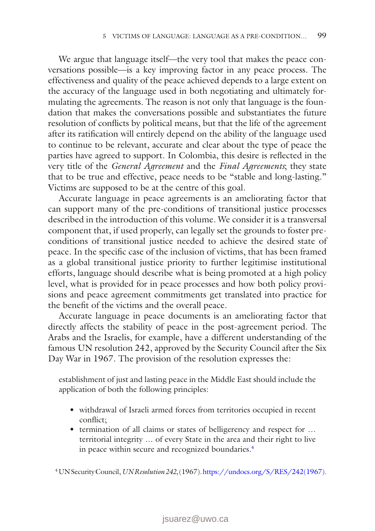We argue that language itself—the very tool that makes the peace conversations possible—is a key improving factor in any peace process. The effectiveness and quality of the peace achieved depends to a large extent on the accuracy of the language used in both negotiating and ultimately formulating the agreements. The reason is not only that language is the foundation that makes the conversations possible and substantiates the future resolution of conflicts by political means, but that the life of the agreement after its ratification will entirely depend on the ability of the language used to continue to be relevant, accurate and clear about the type of peace the parties have agreed to support. In Colombia, this desire is reflected in the very title of the *General Agreement* and the *Final Agreements*; they state that to be true and effective, peace needs to be "stable and long-lasting." Victims are supposed to be at the centre of this goal.

Accurate language in peace agreements is an ameliorating factor that can support many of the pre-conditions of transitional justice processes described in the introduction of this volume. We consider it is a transversal component that, if used properly, can legally set the grounds to foster preconditions of transitional justice needed to achieve the desired state of peace. In the specific case of the inclusion of victims, that has been framed as a global transitional justice priority to further legitimise institutional efforts, language should describe what is being promoted at a high policy level, what is provided for in peace processes and how both policy provisions and peace agreement commitments get translated into practice for the benefit of the victims and the overall peace.

Accurate language in peace documents is an ameliorating factor that directly affects the stability of peace in the post-agreement period. The Arabs and the Israelis, for example, have a different understanding of the famous UN resolution 242, approved by the Security Council after the Six Day War in 1967. The provision of the resolution expresses the:

establishment of just and lasting peace in the Middle East should include the application of both the following principles:

- withdrawal of Israeli armed forces from territories occupied in recent conflict;
- termination of all claims or states of belligerency and respect for … territorial integrity … of every State in the area and their right to live in peace within secure and recognized boundaries.<sup>4</sup>

<span id="page-2-0"></span>4UN Security Council, *UN Resolution 242*, (1967). [https://undocs.org/S/RES/242\(1967\)](https://undocs.org/S/RES/242(1967)).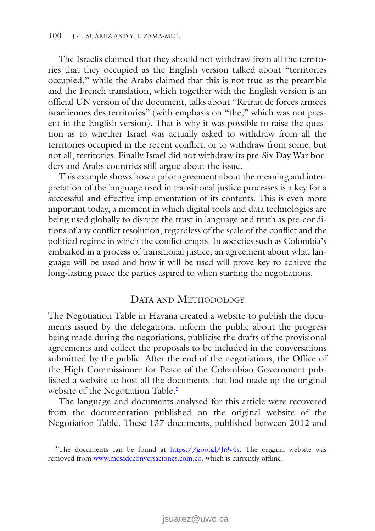The Israelis claimed that they should not withdraw from all the territories that they occupied as the English version talked about "territories occupied," while the Arabs claimed that this is not true as the preamble and the French translation, which together with the English version is an official UN version of the document, talks about "Retrait de forces armees israeliennes des territories" (with emphasis on "the," which was not present in the English version). That is why it was possible to raise the question as to whether Israel was actually asked to withdraw from all the territories occupied in the recent conflict, or to withdraw from some, but not all, territories. Finally Israel did not withdraw its pre-Six Day War borders and Arabs countries still argue about the issue.

This example shows how a prior agreement about the meaning and interpretation of the language used in transitional justice processes is a key for a successful and effective implementation of its contents. This is even more important today, a moment in which digital tools and data technologies are being used globally to disrupt the trust in language and truth as pre-conditions of any conflict resolution, regardless of the scale of the conflict and the political regime in which the conflict erupts. In societies such as Colombia's embarked in a process of transitional justice, an agreement about what language will be used and how it will be used will prove key to achieve the long-lasting peace the parties aspired to when starting the negotiations.

#### DATA AND METHODOLOGY

The Negotiation Table in Havana created a website to publish the documents issued by the delegations, inform the public about the progress being made during the negotiations, publicise the drafts of the provisional agreements and collect the proposals to be included in the conversations submitted by the public. After the end of the negotiations, the Office of the High Commissioner for Peace of the Colombian Government published a website to host all the documents that had made up the original website of the Negotiation Table.<sup>[5](#page-3-0)</sup>

The language and documents analysed for this article were recovered from the documentation published on the original website of the Negotiation Table. These 137 documents, published between 2012 and

<span id="page-3-0"></span><sup>&</sup>lt;sup>5</sup>The documents can be found at [https://goo.gl/Ji9y4s.](https://goo.gl/Ji9y4s) The original website was removed from [www.mesadeconversaciones.com.co,](http://www.mesadeconversaciones.com.co) which is currently offline.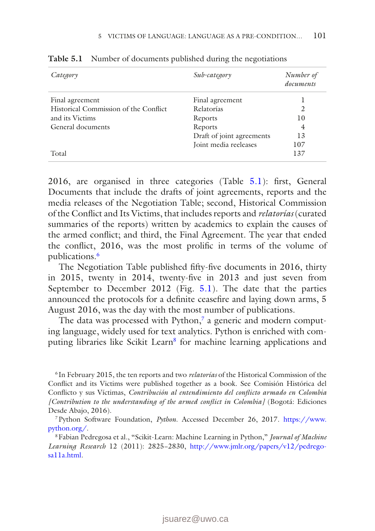| Category                              | Sub-category              | Number of<br>documents |
|---------------------------------------|---------------------------|------------------------|
| Final agreement                       | Final agreement           |                        |
| Historical Commission of the Conflict | Relatorías                | 2                      |
| and its Victims                       | Reports                   | 10                     |
| General documents                     | Reports                   | 4                      |
|                                       | Draft of joint agreements | 13                     |
|                                       | Joint media reeleases     | 107                    |
| Total                                 |                           | 137                    |

<span id="page-4-0"></span>**Table 5.1** Number of documents published during the negotiations

2016, are organised in three categories (Table [5.1\)](#page-4-0): first, General Documents that include the drafts of joint agreements, reports and the media releases of the Negotiation Table; second, Historical Commission of the Conflict and Its Victims, that includes reports and *relatorías* (curated summaries of the reports) written by academics to explain the causes of the armed conflict; and third, the Final Agreement. The year that ended the conflict, 2016, was the most prolific in terms of the volume of publications[.6](#page-4-1)

The Negotiation Table published fifty-five documents in 2016, thirty in 2015, twenty in 2014, twenty-five in 2013 and just seven from September to December 2012 (Fig. [5.1](#page-5-0)). The date that the parties announced the protocols for a definite ceasefire and laying down arms, 5 August 2016, was the day with the most number of publications.

The data was processed with Python, $\frac{7}{9}$  a generic and modern computing language, widely used for text analytics. Python is enriched with computing libraries like Scikit Learn<sup>8</sup> for machine learning applications and

<span id="page-4-1"></span><sup>6</sup> In February 2015, the ten reports and two *relatorías* of the Historical Commission of the Conflict and its Victims were published together as a book. See Comisión Histórica del Conflicto y sus Víctimas, *Contribución al entendimiento del conflicto armado en Colombia [Contribution to the understanding of the armed conflict in Colombia]* (Bogotá: Ediciones Desde Abajo, 2016).

<span id="page-4-2"></span>7Python Software Foundation, *Python*. Accessed December 26, 2017. [https://www.](https://www.python.org/) [python.org/](https://www.python.org/).

<span id="page-4-3"></span>8Fabian Pedregosa et al., "Scikit-Learn: Machine Learning in Python," *Journal of Machine Learning Research* 12 (2011): 2825−2830, [http://www.jmlr.org/papers/v12/pedrego](http://www.jmlr.org/papers/v12/pedregosa11a.html)[sa11a.html.](http://www.jmlr.org/papers/v12/pedregosa11a.html)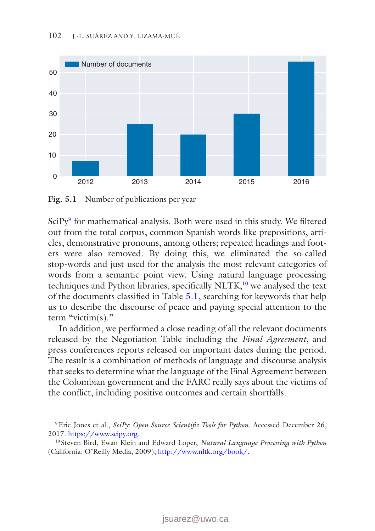<span id="page-5-0"></span>

Fig. 5.1 Number of publications per year

SciPy<sup>[9](#page-5-1)</sup> for mathematical analysis. Both were used in this study. We filtered out from the total corpus, common Spanish words like prepositions, articles, demonstrative pronouns, among others; repeated headings and footers were also removed. By doing this, we eliminated the so-called stop-words and just used for the analysis the most relevant categories of words from a semantic point view. Using natural language processing techniques and Python libraries, specifically NLTK,<sup>10</sup> we analysed the text of the documents classified in Table [5.1](#page-4-0), searching for keywords that help us to describe the discourse of peace and paying special attention to the term "victim(s)."

In addition, we performed a close reading of all the relevant documents released by the Negotiation Table including the *Final Agreement*, and press conferences reports released on important dates during the period. The result is a combination of methods of language and discourse analysis that seeks to determine what the language of the Final Agreement between the Colombian government and the FARC really says about the victims of the conflict, including positive outcomes and certain shortfalls.

<span id="page-5-1"></span><sup>9</sup>Eric Jones et al., *SciPy: Open Source Scientific Tools for Python.* Accessed December 26, 2017.<https://www.scipy.org>.

<span id="page-5-2"></span><sup>10</sup> Steven Bird, Ewan Klein and Edward Loper, *Natural Language Processing with Python* (California: O'Reilly Media, 2009), <http://www.nltk.org/book/>.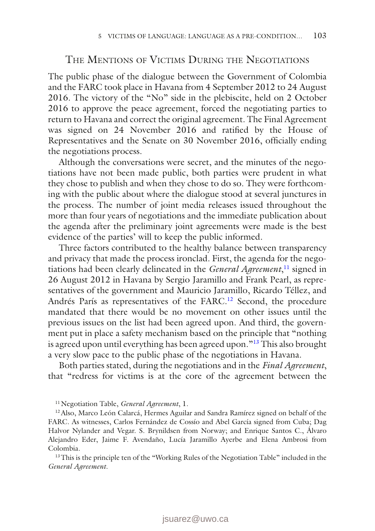#### The Mentions of Victims During the Negotiations

The public phase of the dialogue between the Government of Colombia and the FARC took place in Havana from 4 September 2012 to 24 August 2016. The victory of the "No" side in the plebiscite, held on 2 October 2016 to approve the peace agreement, forced the negotiating parties to return to Havana and correct the original agreement. The Final Agreement was signed on 24 November 2016 and ratified by the House of Representatives and the Senate on 30 November 2016, officially ending the negotiations process.

Although the conversations were secret, and the minutes of the negotiations have not been made public, both parties were prudent in what they chose to publish and when they chose to do so. They were forthcoming with the public about where the dialogue stood at several junctures in the process. The number of joint media releases issued throughout the more than four years of negotiations and the immediate publication about the agenda after the preliminary joint agreements were made is the best evidence of the parties' will to keep the public informed.

Three factors contributed to the healthy balance between transparency and privacy that made the process ironclad. First, the agenda for the negotiations had been clearly delineated in the *General Agreement*, [11](#page-6-0) signed in 26 August 2012 in Havana by Sergio Jaramillo and Frank Pearl, as representatives of the government and Mauricio Jaramillo, Ricardo Téllez, and Andrés París as representatives of the FARC.<sup>12</sup> Second, the procedure mandated that there would be no movement on other issues until the previous issues on the list had been agreed upon. And third, the government put in place a safety mechanism based on the principle that "nothing is agreed upon until everything has been agreed upon."<sup>13</sup> This also brought a very slow pace to the public phase of the negotiations in Havana.

Both parties stated, during the negotiations and in the *Final Agreement*, that "redress for victims is at the core of the agreement between the

<span id="page-6-1"></span><span id="page-6-0"></span>11Negotiation Table, *General Agreement*, 1.

12Also, Marco León Calarcá, Hermes Aguilar and Sandra Ramírez signed on behalf of the FARC. As witnesses, Carlos Fernández de Cossío and Abel García signed from Cuba; Dag Halvor Nylander and Vegar. S. Brynildsen from Norway; and Enrique Santos C., Álvaro Alejandro Eder, Jaime F. Avendaño, Lucía Jaramillo Ayerbe and Elena Ambrosi from Colombia.

<span id="page-6-2"></span><sup>13</sup>This is the principle ten of the "Working Rules of the Negotiation Table" included in the *General Agreement*.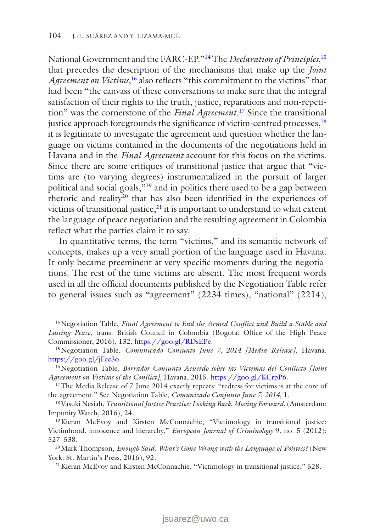National Government and the FARC-EP.["14](#page-7-0) The *Declaration of Principles*, [15](#page-7-1) that precedes the description of the mechanisms that make up the *Joint*  Agreement on Victims,<sup>[16](#page-7-2)</sup> also reflects "this commitment to the victims" that had been "the canvass of these conversations to make sure that the integral satisfaction of their rights to the truth, justice, reparations and non-repetition" was the cornerstone of the *Final Agreement*. [17](#page-7-3) Since the transitional justice approach foregrounds the significance of victim-centred processes, <sup>[18](#page-7-4)</sup> it is legitimate to investigate the agreement and question whether the language on victims contained in the documents of the negotiations held in Havana and in the *Final Agreement* account for this focus on the victims. Since there are some critiques of transitional justice that argue that "victims are (to varying degrees) instrumentalized in the pursuit of larger political and social goals,["19](#page-7-5) and in politics there used to be a gap between rhetoric and reality[20](#page-7-6) that has also been identified in the experiences of victims of transitional justice, $21$  it is important to understand to what extent the language of peace negotiation and the resulting agreement in Colombia reflect what the parties claim it to say.

In quantitative terms, the term "victims," and its semantic network of concepts, makes up a very small portion of the language used in Havana. It only became preeminent at very specific moments during the negotiations. The rest of the time victims are absent. The most frequent words used in all the official documents published by the Negotiation Table refer to general issues such as "agreement" (2234 times), "national" (2214),

<span id="page-7-0"></span>14Negotiation Table, *Final Agreement to End the Armed Conflict and Build a Stable and Lasting Peace*, trans. British Council in Colombia (Bogota: Office of the High Peace Commissioner, 2016), 132, <https://goo.gl/RDsEPe>.

<span id="page-7-1"></span>15Negotiation Table, *Comunicado Conjunto June 7, 2014 [Media Release]*, Havana. <https://goo.gl/jFcc3o>.

<span id="page-7-2"></span><sup>16</sup>Negotiation Table, *Borrador Conjunto Acuerdo sobre las Víctimas del Conflicto [Joint Agreement on Victims of the Conflict],* Havana, 2015. [https://goo.gl/KCrpP6.](https://goo.gl/KCrpP6)

<span id="page-7-3"></span><sup>17</sup>The Media Release of 7 June 2014 exactly repeats: "redress for victims is at the core of the agreement." See Negotiation Table, *Comunicado Conjunto June 7, 2014*, 1.

<span id="page-7-4"></span>18Vasuki Nesiah, *Transitional Justice Practice: Looking Back, Moving Forward*, (Amsterdam: Impunity Watch, 2016), 24.

<span id="page-7-5"></span><sup>19</sup>Kieran McEvoy and Kirsten McConnachie, "Victimology in transitional justice: Victimhood, innocence and hierarchy," *European Journal of Criminology* 9, no. 5 (2012): 527–538.

<span id="page-7-6"></span>20Mark Thompson, *Enough Said: What's Gone Wrong with the Language of Politics?* (New York: St. Martin's Press, 2016), 92.

<span id="page-7-7"></span><sup>21</sup> Kieran McEvoy and Kirsten McConnachie, "Victimology in transitional justice," 528.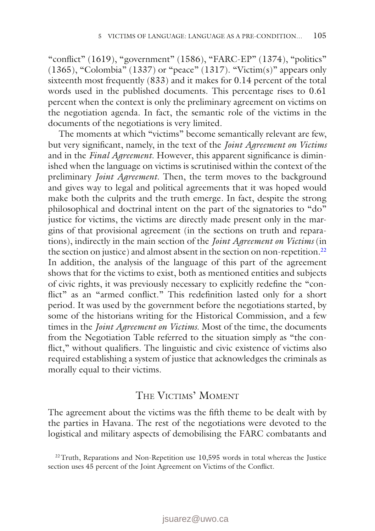"conflict" (1619), "government" (1586), "FARC-EP" (1374), "politics"  $(1365)$ , "Colombia"  $(1337)$  or "peace"  $(1317)$ . "Victim(s)" appears only sixteenth most frequently (833) and it makes for 0.14 percent of the total words used in the published documents. This percentage rises to 0.61 percent when the context is only the preliminary agreement on victims on the negotiation agenda. In fact, the semantic role of the victims in the documents of the negotiations is very limited.

The moments at which "victims" become semantically relevant are few, but very significant, namely, in the text of the *Joint Agreement on Victims* and in the *Final Agreement*. However, this apparent significance is diminished when the language on victims is scrutinised within the context of the preliminary *Joint Agreement*. Then, the term moves to the background and gives way to legal and political agreements that it was hoped would make both the culprits and the truth emerge. In fact, despite the strong philosophical and doctrinal intent on the part of the signatories to "do" justice for victims, the victims are directly made present only in the margins of that provisional agreement (in the sections on truth and reparations), indirectly in the main section of the *Joint Agreement on Victims* (in the section on justice) and almost absent in the section on non-repetition.<sup>[22](#page-8-0)</sup> In addition, the analysis of the language of this part of the agreement shows that for the victims to exist, both as mentioned entities and subjects of civic rights, it was previously necessary to explicitly redefine the "conflict" as an "armed conflict." This redefinition lasted only for a short period. It was used by the government before the negotiations started, by some of the historians writing for the Historical Commission, and a few times in the *Joint Agreement on Victims*. Most of the time, the documents from the Negotiation Table referred to the situation simply as "the conflict," without qualifiers. The linguistic and civic existence of victims also required establishing a system of justice that acknowledges the criminals as morally equal to their victims.

## The Victims' Moment

The agreement about the victims was the fifth theme to be dealt with by the parties in Havana. The rest of the negotiations were devoted to the logistical and military aspects of demobilising the FARC combatants and

<span id="page-8-0"></span><sup>&</sup>lt;sup>22</sup> Truth, Reparations and Non-Repetition use 10,595 words in total whereas the Justice section uses 45 percent of the Joint Agreement on Victims of the Conflict.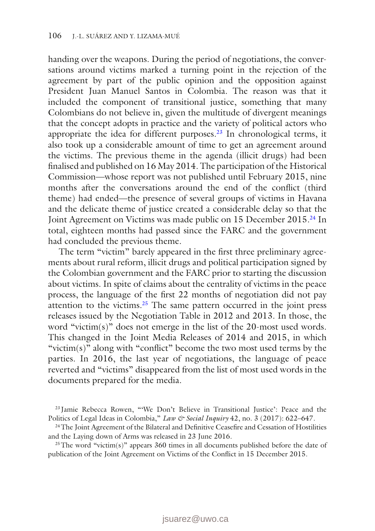handing over the weapons. During the period of negotiations, the conversations around victims marked a turning point in the rejection of the agreement by part of the public opinion and the opposition against President Juan Manuel Santos in Colombia. The reason was that it included the component of transitional justice, something that many Colombians do not believe in, given the multitude of divergent meanings that the concept adopts in practice and the variety of political actors who appropriate the idea for different purposes.<sup>23</sup> In chronological terms, it also took up a considerable amount of time to get an agreement around the victims. The previous theme in the agenda (illicit drugs) had been finalised and published on 16 May 2014. The participation of the Historical Commission—whose report was not published until February 2015, nine months after the conversations around the end of the conflict (third theme) had ended—the presence of several groups of victims in Havana and the delicate theme of justice created a considerable delay so that the Joint Agreement on Victims was made public on 15 December 2015.<sup>24</sup> In total, eighteen months had passed since the FARC and the government had concluded the previous theme.

The term "victim" barely appeared in the first three preliminary agreements about rural reform, illicit drugs and political participation signed by the Colombian government and the FARC prior to starting the discussion about victims. In spite of claims about the centrality of victims in the peace process, the language of the first 22 months of negotiation did not pay attention to the victims.<sup>25</sup> The same pattern occurred in the joint press releases issued by the Negotiation Table in 2012 and 2013. In those, the word "victim(s)" does not emerge in the list of the 20-most used words. This changed in the Joint Media Releases of 2014 and 2015, in which "victim(s)" along with "conflict" become the two most used terms by the parties. In 2016, the last year of negotiations, the language of peace reverted and "victims" disappeared from the list of most used words in the documents prepared for the media.

<span id="page-9-0"></span><sup>23</sup> Jamie Rebecca Rowen, "'We Don't Believe in Transitional Justice': Peace and the Politics of Legal Ideas in Colombia," *Law & Social Inquiry* 42, no. 3 (2017): 622–647.

<span id="page-9-1"></span><sup>24</sup>The Joint Agreement of the Bilateral and Definitive Ceasefire and Cessation of Hostilities and the Laying down of Arms was released in 23 June 2016.

<span id="page-9-2"></span><sup>25</sup>The word "victim(s)" appears  $360$  times in all documents published before the date of publication of the Joint Agreement on Victims of the Conflict in 15 December 2015.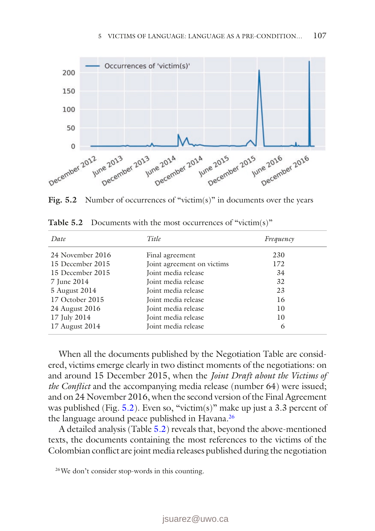<span id="page-10-0"></span>

Fig. 5.2 Number of occurrences of "victim(s)" in documents over the years

| Date             | Title                      | Frequency |
|------------------|----------------------------|-----------|
| 24 November 2016 | Final agreement            | 230       |
| 15 December 2015 | Joint agreement on victims | 172       |
| 15 December 2015 | Joint media release        | 34        |
| 7 June 2014      | Joint media release        | 32        |
| 5 August 2014    | Joint media release        | 23        |
| 17 October 2015  | Joint media release        | 16        |
| 24 August 2016   | Joint media release        | 10        |
| 17 July 2014     | Joint media release        | 10        |
| 17 August 2014   | Joint media release        | 6         |

<span id="page-10-2"></span>**Table 5.2** Documents with the most occurrences of "victim(s)"

When all the documents published by the Negotiation Table are considered, victims emerge clearly in two distinct moments of the negotiations: on and around 15 December 2015, when the *Joint Draft about the Victims of the Conflict* and the accompanying media release (number 64) were issued; and on 24 November 2016, when the second version of the Final Agreement was published (Fig.  $5.2$ ). Even so, "victim(s)" make up just a 3.3 percent of the language around peace published in Havana[.26](#page-10-1)

A detailed analysis (Table [5.2\)](#page-10-2) reveals that, beyond the above-mentioned texts, the documents containing the most references to the victims of the Colombian conflict are joint media releases published during the negotiation

<span id="page-10-1"></span>26We don't consider stop-words in this counting.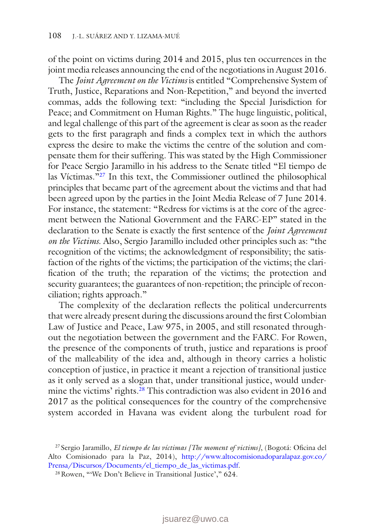of the point on victims during 2014 and 2015, plus ten occurrences in the joint media releases announcing the end of the negotiations in August 2016.

The *Joint Agreement on the Victims* is entitled "Comprehensive System of Truth, Justice, Reparations and Non-Repetition," and beyond the inverted commas, adds the following text: "including the Special Jurisdiction for Peace; and Commitment on Human Rights." The huge linguistic, political, and legal challenge of this part of the agreement is clear as soon as the reader gets to the first paragraph and finds a complex text in which the authors express the desire to make the victims the centre of the solution and compensate them for their suffering. This was stated by the High Commissioner for Peace Sergio Jaramillo in his address to the Senate titled "El tiempo de las Víctimas.["27](#page-11-0) In this text, the Commissioner outlined the philosophical principles that became part of the agreement about the victims and that had been agreed upon by the parties in the Joint Media Release of 7 June 2014. For instance, the statement: "Redress for victims is at the core of the agreement between the National Government and the FARC-EP" stated in the declaration to the Senate is exactly the first sentence of the *Joint Agreement on the Victims*. Also, Sergio Jaramillo included other principles such as: "the recognition of the victims; the acknowledgment of responsibility; the satisfaction of the rights of the victims; the participation of the victims; the clarification of the truth; the reparation of the victims; the protection and security guarantees; the guarantees of non-repetition; the principle of reconciliation; rights approach."

The complexity of the declaration reflects the political undercurrents that were already present during the discussions around the first Colombian Law of Justice and Peace, Law 975, in 2005, and still resonated throughout the negotiation between the government and the FARC. For Rowen, the presence of the components of truth, justice and reparations is proof of the malleability of the idea and, although in theory carries a holistic conception of justice, in practice it meant a rejection of transitional justice as it only served as a slogan that, under transitional justice, would under-mine the victims' rights.<sup>[28](#page-11-1)</sup> This contradiction was also evident in 2016 and 2017 as the political consequences for the country of the comprehensive system accorded in Havana was evident along the turbulent road for

<span id="page-11-0"></span><sup>27</sup> Sergio Jaramillo, *El tiempo de las víctimas [The moment of victims]*, (Bogotá: Oficina del Alto Comisionado para la Paz, 2014), [http://www.altocomisionadoparalapaz.gov.co/](http://www.altocomisionadoparalapaz.gov.co/Prensa/Discursos/Documents/el_tiempo_de_las_victimas.pdf) [Prensa/Discursos/Documents/el\\_tiempo\\_de\\_las\\_victimas.pdf.](http://www.altocomisionadoparalapaz.gov.co/Prensa/Discursos/Documents/el_tiempo_de_las_victimas.pdf)

<span id="page-11-1"></span><sup>28</sup>Rowen, "'We Don't Believe in Transitional Justice'," 624.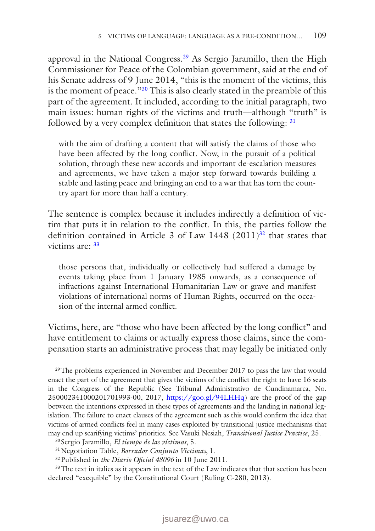approval in the National Congress.[29](#page-12-0) As Sergio Jaramillo, then the High Commissioner for Peace of the Colombian government, said at the end of his Senate address of 9 June 2014, "this is the moment of the victims, this is the moment of peace."[30](#page-12-1) This is also clearly stated in the preamble of this part of the agreement. It included, according to the initial paragraph, two main issues: human rights of the victims and truth—although "truth" is followed by a very complex definition that states the following:  $31$ 

with the aim of drafting a content that will satisfy the claims of those who have been affected by the long conflict. Now, in the pursuit of a political solution, through these new accords and important de-escalation measures and agreements, we have taken a major step forward towards building a stable and lasting peace and bringing an end to a war that has torn the country apart for more than half a century.

The sentence is complex because it includes indirectly a definition of victim that puts it in relation to the conflict. In this, the parties follow the definition contained in Article 3 of Law  $1448$  (2011)<sup>32</sup> that states that victims are: [33](#page-12-4)

those persons that, individually or collectively had suffered a damage by events taking place from 1 January 1985 onwards, as a consequence of infractions against International Humanitarian Law or grave and manifest violations of international norms of Human Rights, occurred on the occasion of the internal armed conflict.

Victims, here, are "those who have been affected by the long conflict" and have entitlement to claims or actually express those claims, since the compensation starts an administrative process that may legally be initiated only

<span id="page-12-0"></span><sup>29</sup>The problems experienced in November and December 2017 to pass the law that would enact the part of the agreement that gives the victims of the conflict the right to have 16 seats in the Congress of the Republic (See Tribunal Administrativo de Cundinamarca, No. 250002341000201701993-00, 2017, [https://goo.gl/94LHHq\)](https://goo.gl/94LHHq) are the proof of the gap between the intentions expressed in these types of agreements and the landing in national legislation. The failure to enact clauses of the agreement such as this would confirm the idea that victims of armed conflicts feel in many cases exploited by transitional justice mechanisms that may end up scarifying victims' priorities. See Vasuki Nesiah, *Transitional Justice Practice*, 25.

<span id="page-12-1"></span><sup>30</sup> Sergio Jaramillo, *El tiempo de las víctimas*, 5.

<span id="page-12-2"></span>31Negotiation Table, *Borrador Conjunto Víctimas*, 1.

<span id="page-12-4"></span><span id="page-12-3"></span>32Published in *the Diario Oficial 48096* in 10 June 2011.

<sup>33</sup>The text in italics as it appears in the text of the Law indicates that that section has been declared "exequible" by the Constitutional Court (Ruling C-280, 2013).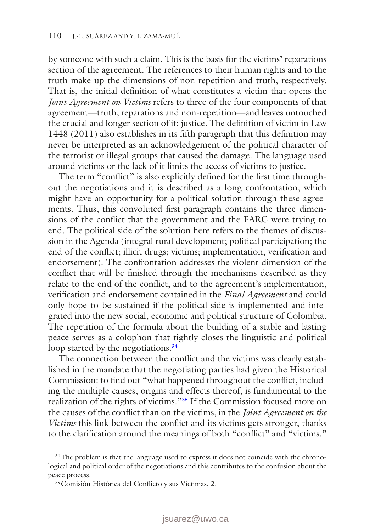by someone with such a claim. This is the basis for the victims' reparations section of the agreement. The references to their human rights and to the truth make up the dimensions of non-repetition and truth, respectively. That is, the initial definition of what constitutes a victim that opens the *Joint Agreement on Victims* refers to three of the four components of that agreement—truth, reparations and non-repetition—and leaves untouched the crucial and longer section of it: justice. The definition of victim in Law 1448 (2011) also establishes in its fifth paragraph that this definition may never be interpreted as an acknowledgement of the political character of the terrorist or illegal groups that caused the damage. The language used around victims or the lack of it limits the access of victims to justice.

The term "conflict" is also explicitly defined for the first time throughout the negotiations and it is described as a long confrontation, which might have an opportunity for a political solution through these agreements. Thus, this convoluted first paragraph contains the three dimensions of the conflict that the government and the FARC were trying to end. The political side of the solution here refers to the themes of discussion in the Agenda (integral rural development; political participation; the end of the conflict; illicit drugs; victims; implementation, verification and endorsement). The confrontation addresses the violent dimension of the conflict that will be finished through the mechanisms described as they relate to the end of the conflict, and to the agreement's implementation, verification and endorsement contained in the *Final Agreement* and could only hope to be sustained if the political side is implemented and integrated into the new social, economic and political structure of Colombia. The repetition of the formula about the building of a stable and lasting peace serves as a colophon that tightly closes the linguistic and political loop started by the negotiations.<sup>34</sup>

The connection between the conflict and the victims was clearly established in the mandate that the negotiating parties had given the Historical Commission: to find out "what happened throughout the conflict, including the multiple causes, origins and effects thereof, is fundamental to the realization of the rights of victims."[35](#page-13-1) If the Commission focused more on the causes of the conflict than on the victims, in the *Joint Agreement on the Victims* this link between the conflict and its victims gets stronger, thanks to the clarification around the meanings of both "conflict" and "victims."

<span id="page-13-0"></span> $34$ The problem is that the language used to express it does not coincide with the chronological and political order of the negotiations and this contributes to the confusion about the peace process.

<span id="page-13-1"></span><sup>35</sup>Comisión Histórica del Conflicto y sus Víctimas, 2.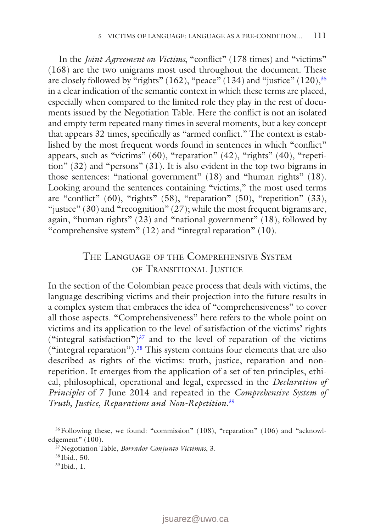In the *Joint Agreement on Victims*, "conflict" (178 times) and "victims" (168) are the two unigrams most used throughout the document. These are closely followed by "rights" (162), "peace" (134) and "justice" (120),  $36$ in a clear indication of the semantic context in which these terms are placed, especially when compared to the limited role they play in the rest of documents issued by the Negotiation Table. Here the conflict is not an isolated and empty term repeated many times in several moments, but a key concept that appears 32 times, specifically as "armed conflict." The context is established by the most frequent words found in sentences in which "conflict" appears, such as "victims" (60), "reparation" (42), "rights" (40), "repetition" (32) and "persons" (31). It is also evident in the top two bigrams in those sentences: "national government" (18) and "human rights" (18). Looking around the sentences containing "victims," the most used terms are "conflict" (60), "rights" (58), "reparation" (50), "repetition" (33), "justice" (30) and "recognition"  $(27)$ ; while the most frequent bigrams are, again, "human rights" (23) and "national government" (18), followed by "comprehensive system" (12) and "integral reparation" (10).

## The Language of the Comprehensive System of Transitional Justice

In the section of the Colombian peace process that deals with victims, the language describing victims and their projection into the future results in a complex system that embraces the idea of "comprehensiveness" to cover all those aspects. "Comprehensiveness" here refers to the whole point on victims and its application to the level of satisfaction of the victims' rights ("integral satisfaction") $37$  and to the level of reparation of the victims ("integral reparation").<sup>38</sup> This system contains four elements that are also described as rights of the victims: truth, justice, reparation and nonrepetition. It emerges from the application of a set of ten principles, ethical, philosophical, operational and legal, expressed in the *Declaration of Principles* of 7 June 2014 and repeated in the *Comprehensive System of Truth, Justice, Reparations and Non-Repetition*. [39](#page-14-3)

<span id="page-14-3"></span><sup>39</sup> Ibid., 1.

<span id="page-14-0"></span><sup>&</sup>lt;sup>36</sup>Following these, we found: "commission" (108), "reparation" (106) and "acknowledgement" (100).

<span id="page-14-1"></span><sup>37</sup>Negotiation Table, *Borrador Conjunto Víctimas*, 3.

<span id="page-14-2"></span><sup>38</sup> Ibid., 50.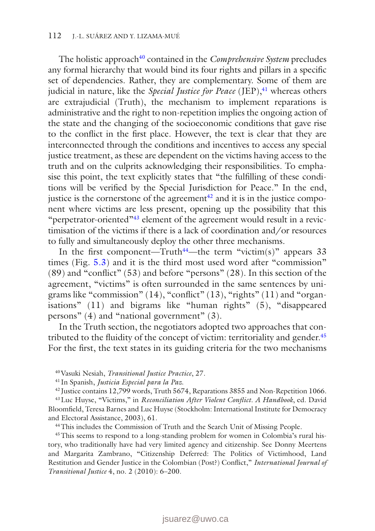The holistic approach<sup>[40](#page-15-0)</sup> contained in the *Comprehensive System* precludes any formal hierarchy that would bind its four rights and pillars in a specific set of dependencies. Rather, they are complementary. Some of them are judicial in nature, like the *Special Justice for Peace* (JEP),<sup>41</sup> whereas others are extrajudicial (Truth), the mechanism to implement reparations is administrative and the right to non-repetition implies the ongoing action of the state and the changing of the socioeconomic conditions that gave rise to the conflict in the first place. However, the text is clear that they are interconnected through the conditions and incentives to access any special justice treatment, as these are dependent on the victims having access to the truth and on the culprits acknowledging their responsibilities. To emphasise this point, the text explicitly states that "the fulfilling of these conditions will be verified by the Special Jurisdiction for Peace." In the end, justice is the cornerstone of the agreement $42$  and it is in the justice component where victims are less present, opening up the possibility that this "perpetrator-oriented["43](#page-15-3) element of the agreement would result in a revictimisation of the victims if there is a lack of coordination and/or resources to fully and simultaneously deploy the other three mechanisms.

In the first component—Truth<sup>44</sup>—the term "victim(s)" appears 33 times (Fig. [5.3\)](#page-16-0) and it is the third most used word after "commission" (89) and "conflict" (53) and before "persons" (28). In this section of the agreement, "victims" is often surrounded in the same sentences by unigrams like "commission" (14), "conflict" (13), "rights" (11) and "organisations" (11) and bigrams like "human rights" (5), "disappeared persons" (4) and "national government" (3).

In the Truth section, the negotiators adopted two approaches that con-tributed to the fluidity of the concept of victim: territoriality and gender.<sup>[45](#page-15-5)</sup> For the first, the text states in its guiding criteria for the two mechanisms

45This seems to respond to a long-standing problem for women in Colombia's rural history, who traditionally have had very limited agency and citizenship. See Donny Meertens and Margarita Zambrano, "Citizenship Deferred: The Politics of Victimhood, Land Restitution and Gender Justice in the Colombian (Post?) Conflict," *International Journal of Transitional Justice* 4, no. 2 (2010): 6–200.

<span id="page-15-0"></span><sup>40</sup>Vasuki Nesiah, *Transitional Justice Practice*, 27.

<span id="page-15-1"></span><sup>41</sup> In Spanish, *Justicia Especial para la Paz.*

<span id="page-15-3"></span><span id="page-15-2"></span><sup>42</sup> Justice contains 12,799 words, Truth 5674, Reparations 3855 and Non-Repetition 1066.

<sup>43</sup>Luc Huyse, "Victims," in *Reconciliation After Violent Conflict. A Handbook*, ed. David Bloomfield, Teresa Barnes and Luc Huyse (Stockholm: International Institute for Democracy and Electoral Assistance, 2003), 61.

<span id="page-15-5"></span><span id="page-15-4"></span><sup>44</sup>This includes the Commission of Truth and the Search Unit of Missing People.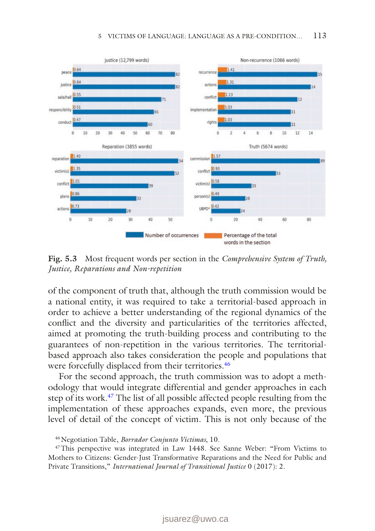<span id="page-16-0"></span>

**Fig. 5.3** Most frequent words per section in the *Comprehensive System of Truth, Justice, Reparations and Non-repetition*

of the component of truth that, although the truth commission would be a national entity, it was required to take a territorial-based approach in order to achieve a better understanding of the regional dynamics of the conflict and the diversity and particularities of the territories affected, aimed at promoting the truth-building process and contributing to the guarantees of non-repetition in the various territories. The territorialbased approach also takes consideration the people and populations that were forcefully displaced from their territories.<sup>46</sup>

For the second approach, the truth commission was to adopt a methodology that would integrate differential and gender approaches in each step of its work.[47](#page-16-2) The list of all possible affected people resulting from the implementation of these approaches expands, even more, the previous level of detail of the concept of victim. This is not only because of the

<span id="page-16-2"></span><span id="page-16-1"></span>46Negotiation Table, *Borrador Conjunto Víctimas*, 10.

47This perspective was integrated in Law 1448. See Sanne Weber: "From Victims to Mothers to Citizens: Gender-Just Transformative Reparations and the Need for Public and Private Transitions," *International Journal of Transitional Justice* 0 (2017): 2.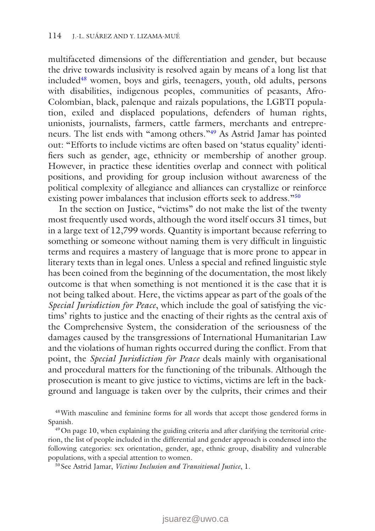multifaceted dimensions of the differentiation and gender, but because the drive towards inclusivity is resolved again by means of a long list that include[d48](#page-17-0) women, boys and girls, teenagers, youth, old adults, persons with disabilities, indigenous peoples, communities of peasants, Afro-Colombian, black, palenque and raizals populations, the LGBTI population, exiled and displaced populations, defenders of human rights, unionists, journalists, farmers, cattle farmers, merchants and entrepreneurs. The list ends with "among others."[49](#page-17-1) As Astrid Jamar has pointed out: "Efforts to include victims are often based on 'status equality' identifiers such as gender, age, ethnicity or membership of another group. However, in practice these identities overlap and connect with political positions, and providing for group inclusion without awareness of the political complexity of allegiance and alliances can crystallize or reinforce existing power imbalances that inclusion efforts seek to address."<sup>[50](#page-17-2)</sup>

In the section on Justice, "victims" do not make the list of the twenty most frequently used words, although the word itself occurs 31 times, but in a large text of 12,799 words. Quantity is important because referring to something or someone without naming them is very difficult in linguistic terms and requires a mastery of language that is more prone to appear in literary texts than in legal ones. Unless a special and refined linguistic style has been coined from the beginning of the documentation, the most likely outcome is that when something is not mentioned it is the case that it is not being talked about. Here, the victims appear as part of the goals of the *Special Jurisdiction for Peace*, which include the goal of satisfying the victims' rights to justice and the enacting of their rights as the central axis of the Comprehensive System, the consideration of the seriousness of the damages caused by the transgressions of International Humanitarian Law and the violations of human rights occurred during the conflict. From that point, the *Special Jurisdiction for Peace* deals mainly with organisational and procedural matters for the functioning of the tribunals. Although the prosecution is meant to give justice to victims, victims are left in the background and language is taken over by the culprits, their crimes and their

<span id="page-17-0"></span>48With masculine and feminine forms for all words that accept those gendered forms in Spanish.

<span id="page-17-1"></span><sup>49</sup> On page 10, when explaining the guiding criteria and after clarifying the territorial criterion, the list of people included in the differential and gender approach is condensed into the following categories: sex orientation, gender, age, ethnic group, disability and vulnerable populations, with a special attention to women.

<span id="page-17-2"></span><sup>50</sup> See Astrid Jamar, *Victims Inclusion and Transitional Justice*, 1.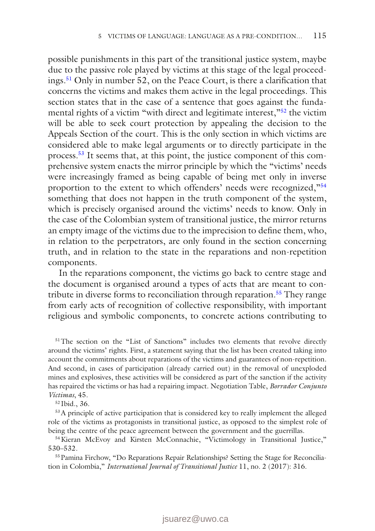possible punishments in this part of the transitional justice system, maybe due to the passive role played by victims at this stage of the legal proceedings.[51](#page-18-0) Only in number 52, on the Peace Court, is there a clarification that concerns the victims and makes them active in the legal proceedings. This section states that in the case of a sentence that goes against the fundamental rights of a victim "with direct and legitimate interest,"<sup>52</sup> the victim will be able to seek court protection by appealing the decision to the Appeals Section of the court. This is the only section in which victims are considered able to make legal arguments or to directly participate in the process.[53](#page-18-2) It seems that, at this point, the justice component of this comprehensive system enacts the mirror principle by which the "victims' needs were increasingly framed as being capable of being met only in inverse proportion to the extent to which offenders' needs were recognized,"[54](#page-18-3) something that does not happen in the truth component of the system, which is precisely organised around the victims' needs to know. Only in the case of the Colombian system of transitional justice, the mirror returns an empty image of the victims due to the imprecision to define them, who, in relation to the perpetrators, are only found in the section concerning truth, and in relation to the state in the reparations and non-repetition components.

In the reparations component, the victims go back to centre stage and the document is organised around a types of acts that are meant to contribute in diverse forms to reconciliation through reparation.<sup>55</sup> They range from early acts of recognition of collective responsibility, with important religious and symbolic components, to concrete actions contributing to

<span id="page-18-0"></span><sup>51</sup>The section on the "List of Sanctions" includes two elements that revolve directly around the victims' rights. First, a statement saying that the list has been created taking into account the commitments about reparations of the victims and guarantees of non-repetition. And second, in cases of participation (already carried out) in the removal of unexploded mines and explosives, these activities will be considered as part of the sanction if the activity has repaired the victims or has had a repairing impact. Negotiation Table, *Borrador Conjunto Víctimas*, 45.

<span id="page-18-2"></span><span id="page-18-1"></span><sup>52</sup> Ibid., 36.

53A principle of active participation that is considered key to really implement the alleged role of the victims as protagonists in transitional justice, as opposed to the simplest role of being the centre of the peace agreement between the government and the guerrillas.

<span id="page-18-3"></span>54Kieran McEvoy and Kirsten McConnachie, "Victimology in Transitional Justice," 530–532.

<span id="page-18-4"></span><sup>55</sup> Pamina Firchow, "Do Reparations Repair Relationships? Setting the Stage for Reconciliation in Colombia," *International Journal of Transitional Justice* 11, no. 2 (2017): 316.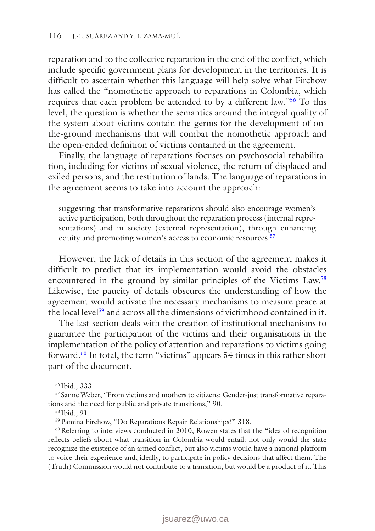reparation and to the collective reparation in the end of the conflict, which include specific government plans for development in the territories. It is difficult to ascertain whether this language will help solve what Firchow has called the "nomothetic approach to reparations in Colombia, which requires that each problem be attended to by a different law."[56](#page-19-0) To this level, the question is whether the semantics around the integral quality of the system about victims contain the germs for the development of onthe-ground mechanisms that will combat the nomothetic approach and the open-ended definition of victims contained in the agreement.

Finally, the language of reparations focuses on psychosocial rehabilitation, including for victims of sexual violence, the return of displaced and exiled persons, and the restitution of lands. The language of reparations in the agreement seems to take into account the approach:

suggesting that transformative reparations should also encourage women's active participation, both throughout the reparation process (internal representations) and in society (external representation), through enhancing equity and promoting women's access to economic resources.<sup>57</sup>

However, the lack of details in this section of the agreement makes it difficult to predict that its implementation would avoid the obstacles encountered in the ground by similar principles of the Victims Law.[58](#page-19-2) Likewise, the paucity of details obscures the understanding of how the agreement would activate the necessary mechanisms to measure peace at the local level<sup>59</sup> and across all the dimensions of victimhood contained in it.

The last section deals with the creation of institutional mechanisms to guarantee the participation of the victims and their organisations in the implementation of the policy of attention and reparations to victims going forward[.60](#page-19-4) In total, the term "victims" appears 54 times in this rather short part of the document.

<span id="page-19-1"></span><span id="page-19-0"></span><sup>56</sup> Ibid., 333.

<sup>57</sup> Sanne Weber, "From victims and mothers to citizens: Gender-just transformative reparations and the need for public and private transitions," 90.

<span id="page-19-2"></span><sup>58</sup> Ibid., 91.

<span id="page-19-4"></span><span id="page-19-3"></span>59Pamina Firchow, "Do Reparations Repair Relationships?" 318.

<sup>60</sup>Referring to interviews conducted in 2010, Rowen states that the "idea of recognition reflects beliefs about what transition in Colombia would entail: not only would the state recognize the existence of an armed conflict, but also victims would have a national platform to voice their experience and, ideally, to participate in policy decisions that affect them. The (Truth) Commission would not contribute to a transition, but would be a product of it. This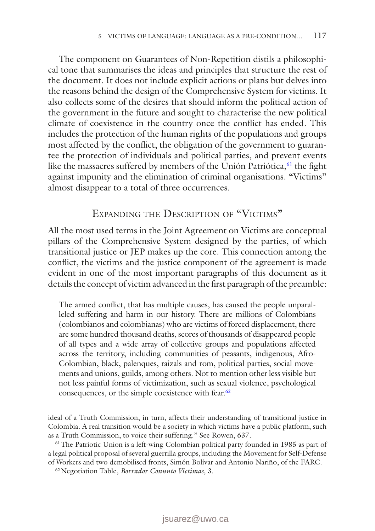The component on Guarantees of Non-Repetition distils a philosophical tone that summarises the ideas and principles that structure the rest of the document. It does not include explicit actions or plans but delves into the reasons behind the design of the Comprehensive System for victims. It also collects some of the desires that should inform the political action of the government in the future and sought to characterise the new political climate of coexistence in the country once the conflict has ended. This includes the protection of the human rights of the populations and groups most affected by the conflict, the obligation of the government to guarantee the protection of individuals and political parties, and prevent events like the massacres suffered by members of the Unión Patriótica,  $61$  the fight against impunity and the elimination of criminal organisations. "Victims" almost disappear to a total of three occurrences.

### EXPANDING THE DESCRIPTION OF "VICTIMS"

All the most used terms in the Joint Agreement on Victims are conceptual pillars of the Comprehensive System designed by the parties, of which transitional justice or JEP makes up the core. This connection among the conflict, the victims and the justice component of the agreement is made evident in one of the most important paragraphs of this document as it details the concept of victim advanced in the first paragraph of the preamble:

The armed conflict, that has multiple causes, has caused the people unparalleled suffering and harm in our history. There are millions of Colombians (colombianos and colombianas) who are victims of forced displacement, there are some hundred thousand deaths, scores of thousands of disappeared people of all types and a wide array of collective groups and populations affected across the territory, including communities of peasants, indigenous, Afro-Colombian, black, palenques, raizals and rom, political parties, social movements and unions, guilds, among others. Not to mention other less visible but not less painful forms of victimization, such as sexual violence, psychological consequences, or the simple coexistence with fear.<sup>62</sup>

ideal of a Truth Commission, in turn, affects their understanding of transitional justice in Colombia. A real transition would be a society in which victims have a public platform, such as a Truth Commission, to voice their suffering." See Rowen, 637.

<span id="page-20-0"></span>61The Patriotic Union is a left-wing Colombian political party founded in 1985 as part of a legal political proposal of several guerrilla groups, including the Movement for Self-Defense of Workers and two demobilised fronts, Simón Bolívar and Antonio Nariño, of the FARC.

<span id="page-20-1"></span>62Negotiation Table, *Borrador Conunto Víctimas*, 3.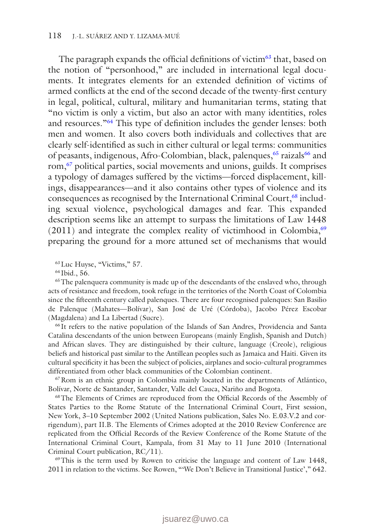The paragraph expands the official definitions of victim<sup>63</sup> that, based on the notion of "personhood," are included in international legal documents. It integrates elements for an extended definition of victims of armed conflicts at the end of the second decade of the twenty-first century in legal, political, cultural, military and humanitarian terms, stating that "no victim is only a victim, but also an actor with many identities, roles and resources."[64](#page-21-1) This type of definition includes the gender lenses: both men and women. It also covers both individuals and collectives that are clearly self-identified as such in either cultural or legal terms: communities of peasants, indigenous, Afro-Colombian, black, palenques, <sup>[65](#page-21-2)</sup> raizals<sup>66</sup> and rom[,67](#page-21-4) political parties, social movements and unions, guilds. It comprises a typology of damages suffered by the victims—forced displacement, killings, disappearances—and it also contains other types of violence and its consequences as recognised by the International Criminal Court,<sup>[68](#page-21-5)</sup> including sexual violence, psychological damages and fear. This expanded description seems like an attempt to surpass the limitations of Law 1448  $(2011)$  and integrate the complex reality of victimhood in Colombia,<sup>[69](#page-21-6)</sup> preparing the ground for a more attuned set of mechanisms that would

<span id="page-21-0"></span>63Luc Huyse, "Victims," 57.

<span id="page-21-2"></span><span id="page-21-1"></span><sup>64</sup> Ibid., 56.

<sup>65</sup>The palenquera community is made up of the descendants of the enslaved who, through acts of resistance and freedom, took refuge in the territories of the North Coast of Colombia since the fifteenth century called palenques. There are four recognised palenques: San Basilio de Palenque (Mahates—Bolívar), San José de Uré (Córdoba), Jacobo Pérez Escobar (Magdalena) and La Libertad (Sucre).

<span id="page-21-3"></span><sup>66</sup> It refers to the native population of the Islands of San Andres, Providencia and Santa Catalina descendants of the union between Europeans (mainly English, Spanish and Dutch) and African slaves. They are distinguished by their culture, language (Creole), religious beliefs and historical past similar to the Antillean peoples such as Jamaica and Haiti. Given its cultural specificity it has been the subject of policies, airplanes and socio-cultural programmes differentiated from other black communities of the Colombian continent.

<span id="page-21-4"></span>67Rom is an ethnic group in Colombia mainly located in the departments of Atlántico, Bolívar, Norte de Santander, Santander, Valle del Cauca, Nariño and Bogota.

<span id="page-21-5"></span>68The Elements of Crimes are reproduced from the Official Records of the Assembly of States Parties to the Rome Statute of the International Criminal Court, First session, New York, 3–10 September 2002 (United Nations publication, Sales No. E.03.V.2 and corrigendum), part II.B. The Elements of Crimes adopted at the 2010 Review Conference are replicated from the Official Records of the Review Conference of the Rome Statute of the International Criminal Court, Kampala, from 31 May to 11 June 2010 (International Criminal Court publication, RC/11).

<span id="page-21-6"></span>69This is the term used by Rowen to criticise the language and content of Law 1448, 2011 in relation to the victims. See Rowen, "'We Don't Believe in Transitional Justice'," 642.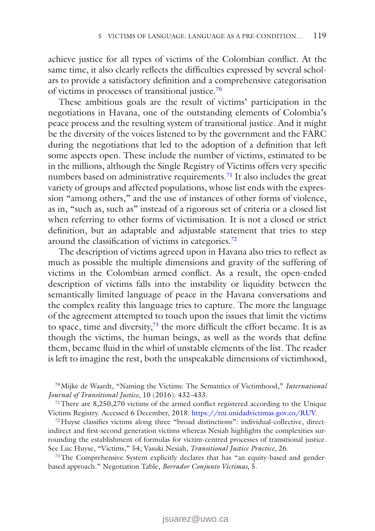achieve justice for all types of victims of the Colombian conflict. At the same time, it also clearly reflects the difficulties expressed by several scholars to provide a satisfactory definition and a comprehensive categorisation of victims in processes of transitional justice.[70](#page-22-0)

These ambitious goals are the result of victims' participation in the negotiations in Havana, one of the outstanding elements of Colombia's peace process and the resulting system of transitional justice. And it might be the diversity of the voices listened to by the government and the FARC during the negotiations that led to the adoption of a definition that left some aspects open. These include the number of victims, estimated to be in the millions, although the Single Registry of Victims offers very specific numbers based on administrative requirements.<sup>[71](#page-22-1)</sup> It also includes the great variety of groups and affected populations, whose list ends with the expression "among others," and the use of instances of other forms of violence, as in, "such as, such as" instead of a rigorous set of criteria or a closed list when referring to other forms of victimisation. It is not a closed or strict definition, but an adaptable and adjustable statement that tries to step around the classification of victims in categories.[72](#page-22-2)

The description of victims agreed upon in Havana also tries to reflect as much as possible the multiple dimensions and gravity of the suffering of victims in the Colombian armed conflict. As a result, the open-ended description of victims falls into the instability or liquidity between the semantically limited language of peace in the Havana conversations and the complex reality this language tries to capture. The more the language of the agreement attempted to touch upon the issues that limit the victims to space, time and diversity[,73](#page-22-3) the more difficult the effort became. It is as though the victims, the human beings, as well as the words that define them, became fluid in the whirl of unstable elements of the list. The reader is left to imagine the rest, both the unspeakable dimensions of victimhood,

<span id="page-22-0"></span>70Mijke de Waardt, "Naming the Victims: The Semantics of Victimhood," *International Journal of Transitional Justice*, 10 (2016): 432–433.

<span id="page-22-1"></span>71There are 8,250,270 victims of the armed conflict registered according to the Unique Victims Registry. Accessed 6 December, 2018. <https://rni.unidadvictimas.gov.co/RUV>.

<span id="page-22-2"></span> $72$  Huyse classifies victims along three "broad distinctions": individual-collective, directindirect and first-second generation victims whereas Nesiah highlights the complexities surrounding the establishment of formulas for victim-centred processes of transitional justice. See Luc Huyse, "Victims," 54; Vasuki Nesiah, *Transitional Justice Practice*, 26.

<span id="page-22-3"></span>73The Comprehensive System explicitly declares that has "an equity-based and genderbased approach." Negotiation Table, *Borrador Conjunto Víctimas*, 5.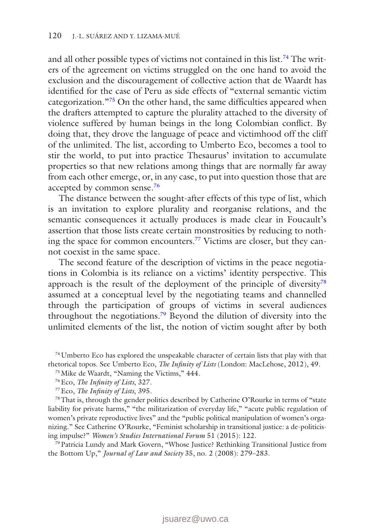and all other possible types of victims not contained in this list.<sup>[74](#page-23-0)</sup> The writers of the agreement on victims struggled on the one hand to avoid the exclusion and the discouragement of collective action that de Waardt has identified for the case of Peru as side effects of "external semantic victim categorization.["75](#page-23-1) On the other hand, the same difficulties appeared when the drafters attempted to capture the plurality attached to the diversity of violence suffered by human beings in the long Colombian conflict. By doing that, they drove the language of peace and victimhood off the cliff of the unlimited. The list, according to Umberto Eco, becomes a tool to stir the world, to put into practice Thesaurus' invitation to accumulate properties so that new relations among things that are normally far away from each other emerge, or, in any case, to put into question those that are accepted by common sense[.76](#page-23-2)

The distance between the sought-after effects of this type of list, which is an invitation to explore plurality and reorganise relations, and the semantic consequences it actually produces is made clear in Foucault's assertion that those lists create certain monstrosities by reducing to nothing the space for common encounters[.77](#page-23-3) Victims are closer, but they cannot coexist in the same space.

The second feature of the description of victims in the peace negotiations in Colombia is its reliance on a victims' identity perspective. This approach is the result of the deployment of the principle of diversity<sup>[78](#page-23-4)</sup> assumed at a conceptual level by the negotiating teams and channelled through the participation of groups of victims in several audiences throughout the negotiations[.79](#page-23-5) Beyond the dilution of diversity into the unlimited elements of the list, the notion of victim sought after by both

<span id="page-23-0"></span> $74$  Umberto Eco has explored the unspeakable character of certain lists that play with that rhetorical topos. See Umberto Eco, *The Infinity of Lists* (London: MacLehose, 2012), 49.

<span id="page-23-1"></span>75Mike de Waardt, "Naming the Victims," 444.

<span id="page-23-4"></span><span id="page-23-3"></span>77Eco, *The Infinity of Lists*, 395.

78That is, through the gender politics described by Catherine O'Rourke in terms of "state liability for private harms," "the militarization of everyday life," "acute public regulation of women's private reproductive lives" and the "public political manipulation of women's organizing." See Catherine O'Rourke, "Feminist scholarship in transitional justice: a de-politicising impulse?" *Women's Studies International Forum* 51 (2015): 122.

<span id="page-23-5"></span>79Patricia Lundy and Mark Govern, "Whose Justice? Rethinking Transitional Justice from the Bottom Up," *Journal of Law and Society* 35, no. 2 (2008): 279–283.

<span id="page-23-2"></span><sup>76</sup>Eco, *The Infinity of Lists*, 327.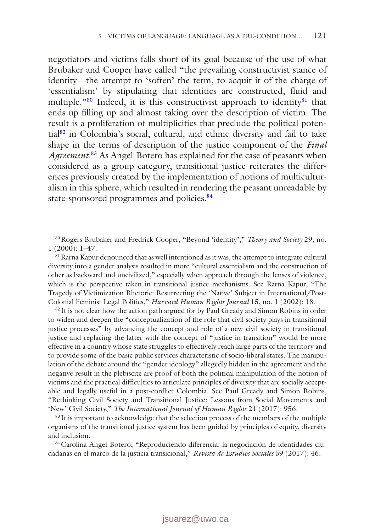negotiators and victims falls short of its goal because of the use of what Brubaker and Cooper have called "the prevailing constructivist stance of identity—the attempt to 'soften' the term, to acquit it of the charge of 'essentialism' by stipulating that identities are constructed, fluid and multiple."<sup>80</sup> Indeed, it is this constructivist approach to identity<sup>[81](#page-24-1)</sup> that ends up filling up and almost taking over the description of victim. The result is a proliferation of multiplicities that preclude the political potential[82](#page-24-2) in Colombia's social, cultural, and ethnic diversity and fail to take shape in the terms of description of the justice component of the *Final Agreement*. [83](#page-24-3) As Angel-Botero has explained for the case of peasants when considered as a group category, transitional justice reiterates the differences previously created by the implementation of notions of multiculturalism in this sphere, which resulted in rendering the peasant unreadable by state-sponsored programmes and policies.<sup>84</sup>

<span id="page-24-0"></span>80Rogers Brubaker and Fredrick Cooper, "Beyond 'identity'," *Theory and Society* 29, no. 1 (2000): 1–47.

<span id="page-24-1"></span> $81$  Rarna Kapur denounced that as well intentioned as it was, the attempt to integrate cultural diversity into a gender analysis resulted in more "cultural essentialism and the construction of other as backward and uncivilized," especially when approach through the lenses of violence, which is the perspective taken in transitional justice mechanisms. See Rarna Kapur, "The Tragedy of Victimization Rhetoric: Resurrecting the 'Native' Subject in International/Post-Colonial Feminist Legal Politics," *Harvard Human Rights Journal* 15, no. 1 (2002): 18.

<span id="page-24-2"></span><sup>82</sup> It is not clear how the action path argued for by Paul Gready and Simon Robins in order to widen and deepen the "conceptualization of the role that civil society plays in transitional justice processes" by advancing the concept and role of a new civil society in transitional justice and replacing the latter with the concept of "justice in transition" would be more effective in a country whose state struggles to effectively reach large parts of the territory and to provide some of the basic public services characteristic of socio-liberal states. The manipulation of the debate around the "gender ideology" allegedly hidden in the agreement and the negative result in the plebiscite are proof of both the political manipulation of the notion of victims and the practical difficulties to articulate principles of diversity that are socially acceptable and legally useful in a post-conflict Colombia. See Paul Gready and Simon Robins, "Rethinking Civil Society and Transitional Justice: Lessons from Social Movements and 'New' Civil Society," *The International Journal of Human Rights* 21 (2017): 956. 83 It is important to acknowledge that the selection process of the members of the multiple

<span id="page-24-3"></span>organisms of the transitional justice system has been guided by principles of equity, diversity and inclusion.

<span id="page-24-4"></span>84Carolina Angel-Botero, "Reproduciendo diferencia: la negociación de identidades ciudadanas en el marco de la justicia transicional," *Revista de Estudios Sociales* 59 (2017): 46.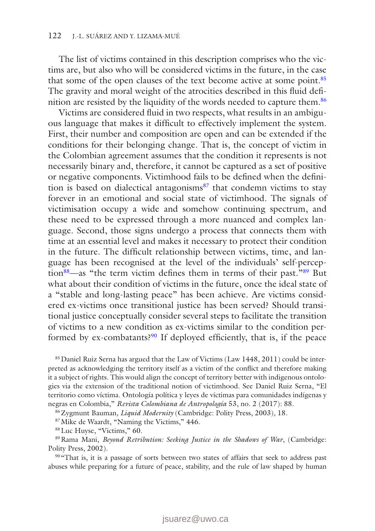The list of victims contained in this description comprises who the victims are, but also who will be considered victims in the future, in the case that some of the open clauses of the text become active at some point.<sup>[85](#page-25-0)</sup> The gravity and moral weight of the atrocities described in this fluid definition are resisted by the liquidity of the words needed to capture them.[86](#page-25-1)

Victims are considered fluid in two respects, what results in an ambiguous language that makes it difficult to effectively implement the system. First, their number and composition are open and can be extended if the conditions for their belonging change. That is, the concept of victim in the Colombian agreement assumes that the condition it represents is not necessarily binary and, therefore, it cannot be captured as a set of positive or negative components. Victimhood fails to be defined when the definition is based on dialectical antagonisms $87$  that condemn victims to stay forever in an emotional and social state of victimhood. The signals of victimisation occupy a wide and somehow continuing spectrum, and these need to be expressed through a more nuanced and complex language. Second, those signs undergo a process that connects them with time at an essential level and makes it necessary to protect their condition in the future. The difficult relationship between victims, time, and language has been recognised at the level of the individuals' self-percep-tion<sup>88</sup>—as "the term victim defines them in terms of their past.<sup>["89](#page-25-4)</sup> But what about their condition of victims in the future, once the ideal state of a "stable and long-lasting peace" has been achieve. Are victims considered ex-victims once transitional justice has been served? Should transitional justice conceptually consider several steps to facilitate the transition of victims to a new condition as ex-victims similar to the condition performed by ex-combatants?<sup>90</sup> If deployed efficiently, that is, if the peace

<span id="page-25-0"></span>85 Daniel Ruiz Serna has argued that the Law of Victims (Law 1448, 2011) could be interpreted as acknowledging the territory itself as a victim of the conflict and therefore making it a subject of rights. This would align the concept of territory better with indigenous ontologies via the extension of the traditional notion of victimhood. See Daniel Ruiz Serna, "El territorio como víctima. Ontología política y leyes de víctimas para comunidades indígenas y negras en Colombia," *Revista Colombiana de Antropología* 53, no. 2 (2017): 88.

<span id="page-25-1"></span>86Zygmunt Bauman*, Liquid Modernity* (Cambridge: Polity Press, 2003), 18.

<span id="page-25-2"></span>87Mike de Waardt, "Naming the Victims," 446.

<span id="page-25-4"></span><span id="page-25-3"></span>88Luc Huyse, "Victims," 60.

89Rama Mani, *Beyond Retribution: Seeking Justice in the Shadows of War*, (Cambridge: Polity Press, 2002).

<span id="page-25-5"></span>90 "That is, it is a passage of sorts between two states of affairs that seek to address past abuses while preparing for a future of peace, stability, and the rule of law shaped by human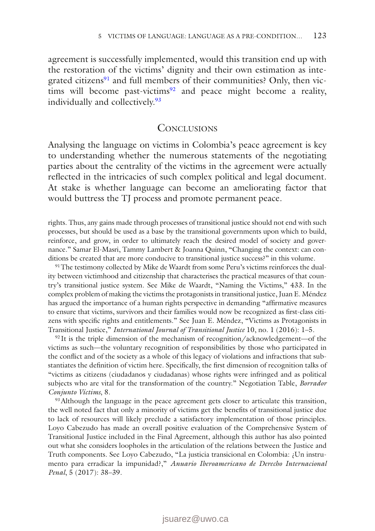agreement is successfully implemented, would this transition end up with the restoration of the victims' dignity and their own estimation as integrated citizens $91$  and full members of their communities? Only, then victims will become past-victims<sup>92</sup> and peace might become a reality, individually and collectively.<sup>[93](#page-26-2)</sup>

#### **CONCLUSIONS**

Analysing the language on victims in Colombia's peace agreement is key to understanding whether the numerous statements of the negotiating parties about the centrality of the victims in the agreement were actually reflected in the intricacies of such complex political and legal document. At stake is whether language can become an ameliorating factor that would buttress the TJ process and promote permanent peace.

rights. Thus, any gains made through processes of transitional justice should not end with such processes, but should be used as a base by the transitional governments upon which to build, reinforce, and grow, in order to ultimately reach the desired model of society and governance." Samar El-Masri, Tammy Lambert & Joanna Quinn, "Changing the context: can conditions be created that are more conducive to transitional justice success?" in this volume.

<span id="page-26-0"></span><sup>91</sup>The testimony collected by Mike de Waardt from some Peru's victims reinforces the duality between victimhood and citizenship that characterises the practical measures of that country's transitional justice system. See Mike de Waardt, "Naming the Victims," 433. In the complex problem of making the victims the protagonists in transitional justice, Juan E. Méndez has argued the importance of a human rights perspective in demanding "affirmative measures to ensure that victims, survivors and their families would now be recognized as first-class citizens with specific rights and entitlements." See Juan E. Méndez, "Victims as Protagonists in Transitional Justice," *International Journal of Transitional Justice* 10, no. 1 (2016): 1–5.

<span id="page-26-1"></span> $92$  It is the triple dimension of the mechanism of recognition/acknowledgement—of the victims as such—the voluntary recognition of responsibilities by those who participated in the conflict and of the society as a whole of this legacy of violations and infractions that substantiates the definition of victim here. Specifically, the first dimension of recognition talks of "victims as citizens (ciudadanos y ciudadanas) whose rights were infringed and as political subjects who are vital for the transformation of the country." Negotiation Table, *Borrador Conjunto Víctims*, 8.

<span id="page-26-2"></span><sup>93</sup> Although the language in the peace agreement gets closer to articulate this transition, the well noted fact that only a minority of victims get the benefits of transitional justice due to lack of resources will likely preclude a satisfactory implementation of those principles. Loyo Cabezudo has made an overall positive evaluation of the Comprehensive System of Transitional Justice included in the Final Agreement, although this author has also pointed out what she considers loopholes in the articulation of the relations between the Justice and Truth components. See Loyo Cabezudo, "La justicia transicional en Colombia: ¿Un instrumento para erradicar la impunidad?," *Anuario Iberoamericano de Derecho Internacional Penal*, 5 (2017): 38–39.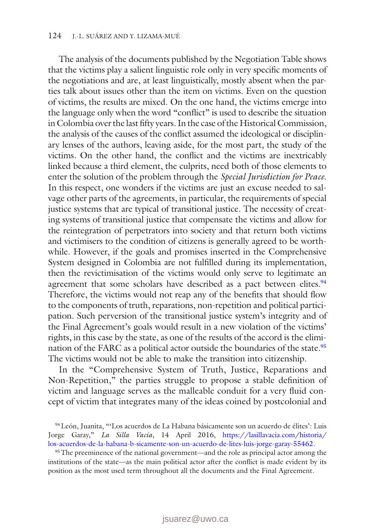The analysis of the documents published by the Negotiation Table shows that the victims play a salient linguistic role only in very specific moments of the negotiations and are, at least linguistically, mostly absent when the parties talk about issues other than the item on victims. Even on the question of victims, the results are mixed. On the one hand, the victims emerge into the language only when the word "conflict" is used to describe the situation in Colombia over the last fifty years. In the case of the Historical Commission, the analysis of the causes of the conflict assumed the ideological or disciplinary lenses of the authors, leaving aside, for the most part, the study of the victims. On the other hand, the conflict and the victims are inextricably linked because a third element, the culprits, need both of those elements to enter the solution of the problem through the *Special Jurisdiction for Peace*. In this respect, one wonders if the victims are just an excuse needed to salvage other parts of the agreements, in particular, the requirements of special justice systems that are typical of transitional justice. The necessity of creating systems of transitional justice that compensate the victims and allow for the reintegration of perpetrators into society and that return both victims and victimisers to the condition of citizens is generally agreed to be worthwhile. However, if the goals and promises inserted in the Comprehensive System designed in Colombia are not fulfilled during its implementation, then the revictimisation of the victims would only serve to legitimate an agreement that some scholars have described as a pact between elites.<sup>94</sup> Therefore, the victims would not reap any of the benefits that should flow to the components of truth, reparations, non-repetition and political participation. Such perversion of the transitional justice system's integrity and of the Final Agreement's goals would result in a new violation of the victims' rights, in this case by the state, as one of the results of the accord is the elimination of the FARC as a political actor outside the boundaries of the state.<sup>95</sup> The victims would not be able to make the transition into citizenship.

In the "Comprehensive System of Truth, Justice, Reparations and Non-Repetition," the parties struggle to propose a stable definition of victim and language serves as the malleable conduit for a very fluid concept of victim that integrates many of the ideas coined by postcolonial and

<span id="page-27-0"></span><sup>94</sup>León, Juanita, "'Los acuerdos de La Habana básicamente son un acuerdo de élites': Luis Jorge Garay," *La Silla Vacía*, 14 April 2016, [https://lasillavacia.com/historia/](https://lasillavacia.com/historia/los-acuerdos-de-la-habana-b-sicamente-son-un-acuerdo-de-lites-luis-jorge-garay-55462) [los-acuerdos-de-la-habana-b-sicamente-son-un-acuerdo-de-lites-luis-jorge-garay-55462.](https://lasillavacia.com/historia/los-acuerdos-de-la-habana-b-sicamente-son-un-acuerdo-de-lites-luis-jorge-garay-55462)

<span id="page-27-1"></span><sup>95</sup>The preeminence of the national government—and the role as principal actor among the institutions of the state—as the main political actor after the conflict is made evident by its position as the most used term throughout all the documents and the Final Agreement.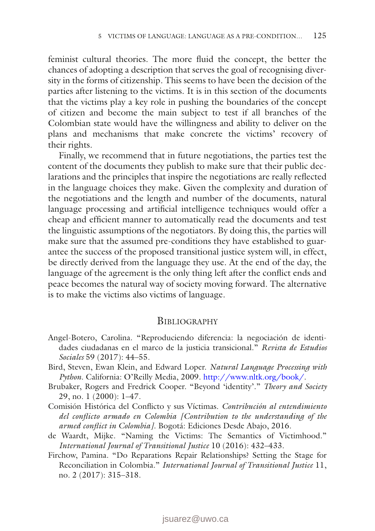feminist cultural theories. The more fluid the concept, the better the chances of adopting a description that serves the goal of recognising diversity in the forms of citizenship. This seems to have been the decision of the parties after listening to the victims. It is in this section of the documents that the victims play a key role in pushing the boundaries of the concept of citizen and become the main subject to test if all branches of the Colombian state would have the willingness and ability to deliver on the plans and mechanisms that make concrete the victims' recovery of their rights.

Finally, we recommend that in future negotiations, the parties test the content of the documents they publish to make sure that their public declarations and the principles that inspire the negotiations are really reflected in the language choices they make. Given the complexity and duration of the negotiations and the length and number of the documents, natural language processing and artificial intelligence techniques would offer a cheap and efficient manner to automatically read the documents and test the linguistic assumptions of the negotiators. By doing this, the parties will make sure that the assumed pre-conditions they have established to guarantee the success of the proposed transitional justice system will, in effect, be directly derived from the language they use. At the end of the day, the language of the agreement is the only thing left after the conflict ends and peace becomes the natural way of society moving forward. The alternative is to make the victims also victims of language.

#### **BIBLIOGRAPHY**

- Angel-Botero, Carolina. "Reproduciendo diferencia: la negociación de identidades ciudadanas en el marco de la justicia transicional." *Revista de Estudios Sociales* 59 (2017): 44–55.
- Bird, Steven, Ewan Klein, and Edward Loper. *Natural Language Processing with Python*. California: O'Reilly Media, 2009. <http://www.nltk.org/book/>.
- Brubaker, Rogers and Fredrick Cooper. "Beyond 'identity'." *Theory and Society* 29, no. 1 (2000): 1–47.
- Comisión Histórica del Conflicto y sus Víctimas. *Contribución al entendimiento del conflicto armado en Colombia [Contribution to the understanding of the armed conflict in Colombia]*. Bogotá: Ediciones Desde Abajo, 2016.
- de Waardt, Mijke. "Naming the Victims: The Semantics of Victimhood." *International Journal of Transitional Justice* 10 (2016): 432–433.
- Firchow, Pamina. "Do Reparations Repair Relationships? Setting the Stage for Reconciliation in Colombia." *International Journal of Transitional Justice* 11, no. 2 (2017): 315–318.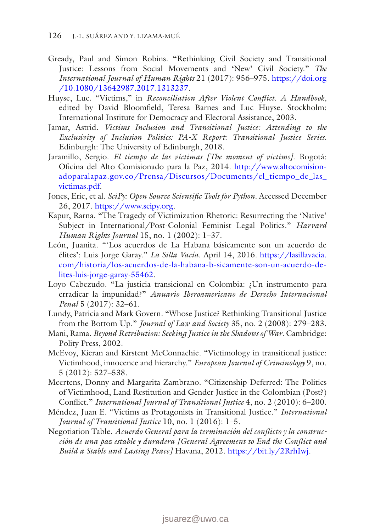- Gready, Paul and Simon Robins. "Rethinking Civil Society and Transitional Justice: Lessons from Social Movements and 'New' Civil Society." *The International Journal of Human Rights* 21 (2017): 956–975. [https://doi.org](https://doi.org/10.1080/13642987.2017.1313237) [/10.1080/13642987.2017.1313237.](https://doi.org/10.1080/13642987.2017.1313237)
- Huyse, Luc. "Victims," in *Reconciliation After Violent Conflict. A Handbook*, edited by David Bloomfield, Teresa Barnes and Luc Huyse. Stockholm: International Institute for Democracy and Electoral Assistance, 2003.
- Jamar, Astrid. *Victims Inclusion and Transitional Justice: Attending to the Exclusivity of Inclusion Politics: PA-X Report: Transitional Justice Series.* Edinburgh: The University of Edinburgh, 2018.
- Jaramillo, Sergio. *El tiempo de las víctimas [The moment of victims]*. Bogotá: Oficina del Alto Comisionado para la Paz, 2014. [http://www.altocomision](http://www.altocomisionadoparalapaz.gov.co/Prensa/Discursos/Documents/el_tiempo_de_las_victimas.pdf)[adoparalapaz.gov.co/Prensa/Discursos/Documents/el\\_tiempo\\_de\\_las\\_](http://www.altocomisionadoparalapaz.gov.co/Prensa/Discursos/Documents/el_tiempo_de_las_victimas.pdf) [victimas.pdf.](http://www.altocomisionadoparalapaz.gov.co/Prensa/Discursos/Documents/el_tiempo_de_las_victimas.pdf)
- Jones, Eric, et al. *SciPy: Open Source Scientific Tools for Python.* Accessed December 26, 2017. [https://www.scipy.org.](https://www.scipy.org)
- Kapur, Rarna. "The Tragedy of Victimization Rhetoric: Resurrecting the 'Native' Subject in International/Post-Colonial Feminist Legal Politics." *Harvard Human Rights Journal* 15, no. 1 (2002): 1–37.
- León, Juanita. "'Los acuerdos de La Habana básicamente son un acuerdo de élites': Luis Jorge Garay." *La Silla Vacía*. April 14, 2016. [https://lasillavacia.](https://lasillavacia.com/historia/los-acuerdos-de-la-habana-b-sicamente-son-un-acuerdo-de-lites-luis-jorge-garay-55462) [com/historia/los-acuerdos-de-la-habana-b-sicamente-son-un-acuerdo-de](https://lasillavacia.com/historia/los-acuerdos-de-la-habana-b-sicamente-son-un-acuerdo-de-lites-luis-jorge-garay-55462)[lites-luis-jorge-garay-55462.](https://lasillavacia.com/historia/los-acuerdos-de-la-habana-b-sicamente-son-un-acuerdo-de-lites-luis-jorge-garay-55462)
- Loyo Cabezudo. "La justicia transicional en Colombia: ¿Un instrumento para erradicar la impunidad?" *Anuario Iberoamericano de Derecho Internacional Penal* 5 (2017): 32–61.
- Lundy, Patricia and Mark Govern. "Whose Justice? Rethinking Transitional Justice from the Bottom Up." *Journal of Law and Society* 35, no. 2 (2008): 279–283.
- Mani, Rama. *Beyond Retribution: Seeking Justice in the Shadows of War*. Cambridge: Polity Press, 2002.
- McEvoy, Kieran and Kirstent McConnachie. "Victimology in transitional justice: Victimhood, innocence and hierarchy." *European Journal of Criminology* 9, no. 5 (2012): 527–538.
- Meertens, Donny and Margarita Zambrano. "Citizenship Deferred: The Politics of Victimhood, Land Restitution and Gender Justice in the Colombian (Post?) Conflict." *International Journal of Transitional Justice* 4, no. 2 (2010): 6–200.
- Méndez, Juan E. "Victims as Protagonists in Transitional Justice." *International Journal of Transitional Justice* 10, no. 1 (2016): 1–5.
- Negotiation Table. *Acuerdo General para la terminación del conflicto y la construcción de una paz estable y duradera [General Agreement to End the Conflict and Build a Stable and Lasting Peace]* Havana, 2012. [https://bit.ly/2RrhIwj.](https://bit.ly/2RrhIwj)